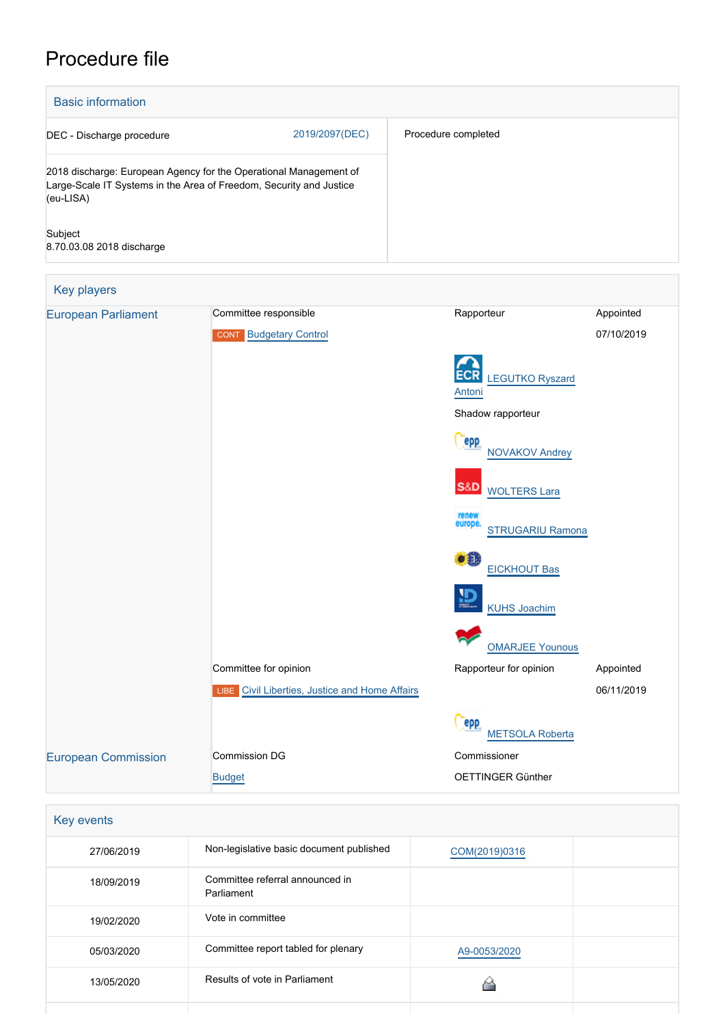# Procedure file

| <b>Basic information</b>                                                                                                                              |                               |                                         |            |  |  |
|-------------------------------------------------------------------------------------------------------------------------------------------------------|-------------------------------|-----------------------------------------|------------|--|--|
| DEC - Discharge procedure                                                                                                                             | 2019/2097(DEC)                | Procedure completed                     |            |  |  |
| 2018 discharge: European Agency for the Operational Management of<br>Large-Scale IT Systems in the Area of Freedom, Security and Justice<br>(eu-LISA) |                               |                                         |            |  |  |
| Subject<br>8.70.03.08 2018 discharge                                                                                                                  |                               |                                         |            |  |  |
| Key players                                                                                                                                           |                               |                                         |            |  |  |
| <b>European Parliament</b>                                                                                                                            | Committee responsible         | Rapporteur                              | Appointed  |  |  |
|                                                                                                                                                       | <b>CONT</b> Budgetary Control |                                         | 07/10/2019 |  |  |
|                                                                                                                                                       |                               | <b>ECR</b><br>LEGUTKO Ryszard<br>Antoni |            |  |  |
|                                                                                                                                                       |                               | Shadow rapporteur                       |            |  |  |
|                                                                                                                                                       |                               | epp<br><b>NOVAKOV Andrey</b>            |            |  |  |
|                                                                                                                                                       |                               | S&D<br><b>WOLTERS Lara</b>              |            |  |  |
|                                                                                                                                                       |                               | renew                                   |            |  |  |

europe.<br>[STRUGARIU Ramona](http://www.europarl.europa.eu/meps/en/134605)





Committee for opinion **Committee for opinion** Rapporteur for opinion Appointed

06/11/2019

[METSOLA Roberta](http://www.europarl.europa.eu/meps/en/118859)

[OMARJEE Younous](http://www.europarl.europa.eu/meps/en/30482)

Commissioner

(repp)

OETTINGER Günther

| Key events |                                               |               |  |  |
|------------|-----------------------------------------------|---------------|--|--|
| 27/06/2019 | Non-legislative basic document published      | COM(2019)0316 |  |  |
| 18/09/2019 | Committee referral announced in<br>Parliament |               |  |  |
| 19/02/2020 | Vote in committee                             |               |  |  |
| 05/03/2020 | Committee report tabled for plenary           | A9-0053/2020  |  |  |
| 13/05/2020 | Results of vote in Parliament                 |               |  |  |
|            |                                               |               |  |  |

**LIBE** [Civil Liberties, Justice and Home Affairs](http://www.europarl.europa.eu/committees/en/libe/home.html)

[European Commission](http://ec.europa.eu/) Commission DG

[Budget](http://ec.europa.eu/info/departments/budget_en)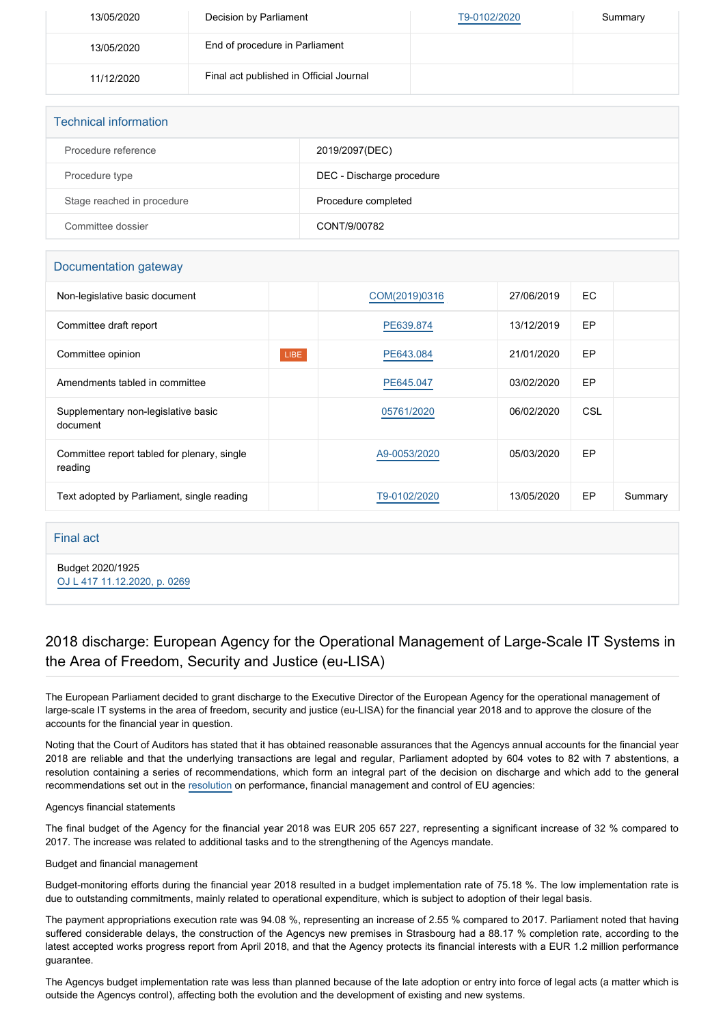| 13/05/2020 | Decision by Parliament                  | T9-0102/2020 | Summary |
|------------|-----------------------------------------|--------------|---------|
| 13/05/2020 | End of procedure in Parliament          |              |         |
| 11/12/2020 | Final act published in Official Journal |              |         |

| <b>Technical information</b> |                           |
|------------------------------|---------------------------|
| Procedure reference          | 2019/2097(DEC)            |
| Procedure type               | DEC - Discharge procedure |
| Stage reached in procedure   | Procedure completed       |
| Committee dossier            | CONT/9/00782              |

## Documentation gateway

| Non-legislative basic document                         |             | COM(2019)0316 | 27/06/2019 | EC.       |         |
|--------------------------------------------------------|-------------|---------------|------------|-----------|---------|
| Committee draft report                                 |             | PE639.874     | 13/12/2019 | EP        |         |
| Committee opinion                                      | <b>LIBE</b> | PE643.084     | 21/01/2020 | EP        |         |
| Amendments tabled in committee                         |             | PE645.047     | 03/02/2020 | <b>EP</b> |         |
| Supplementary non-legislative basic<br>document        |             | 05761/2020    | 06/02/2020 | CSL       |         |
| Committee report tabled for plenary, single<br>reading |             | A9-0053/2020  | 05/03/2020 | EP        |         |
| Text adopted by Parliament, single reading             |             | T9-0102/2020  | 13/05/2020 | EP        | Summary |

### Final act

Budget 2020/1925 [OJ L 417 11.12.2020, p. 0269](https://eur-lex.europa.eu/legal-content/EN/TXT/?uri=OJ:L:2020:417:TOC)

# 2018 discharge: European Agency for the Operational Management of Large-Scale IT Systems in the Area of Freedom, Security and Justice (eu-LISA)

The European Parliament decided to grant discharge to the Executive Director of the European Agency for the operational management of large-scale IT systems in the area of freedom, security and justice (eu-LISA) for the financial year 2018 and to approve the closure of the accounts for the financial year in question.

Noting that the Court of Auditors has stated that it has obtained reasonable assurances that the Agencys annual accounts for the financial year 2018 are reliable and that the underlying transactions are legal and regular, Parliament adopted by 604 votes to 82 with 7 abstentions, a resolution containing a series of recommendations, which form an integral part of the decision on discharge and which add to the general recommendations set out in the [resolution](https://oeil.secure.europarl.europa.eu/oeil/popups/ficheprocedure.do?lang=en&reference=2019/2098(DEC)) on performance, financial management and control of EU agencies:

#### Agencys financial statements

The final budget of the Agency for the financial year 2018 was EUR 205 657 227, representing a significant increase of 32 % compared to 2017. The increase was related to additional tasks and to the strengthening of the Agencys mandate.

#### Budget and financial management

Budget-monitoring efforts during the financial year 2018 resulted in a budget implementation rate of 75.18 %. The low implementation rate is due to outstanding commitments, mainly related to operational expenditure, which is subject to adoption of their legal basis.

The payment appropriations execution rate was 94.08 %, representing an increase of 2.55 % compared to 2017. Parliament noted that having suffered considerable delays, the construction of the Agencys new premises in Strasbourg had a 88.17 % completion rate, according to the latest accepted works progress report from April 2018, and that the Agency protects its financial interests with a EUR 1.2 million performance guarantee.

The Agencys budget implementation rate was less than planned because of the late adoption or entry into force of legal acts (a matter which is outside the Agencys control), affecting both the evolution and the development of existing and new systems.